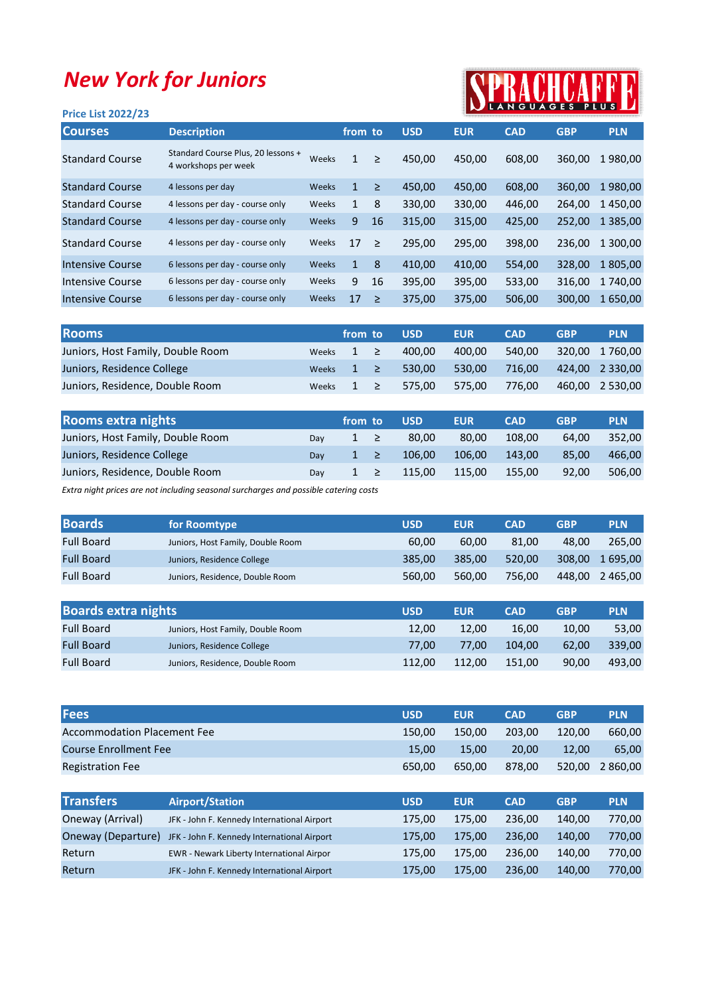## New York for Juniors

## RACHCAFF

| <b>Price List 2022/23</b> |                                                            |              |              |        |            |            | IN LANGUAGES PLUS LA |            |               |
|---------------------------|------------------------------------------------------------|--------------|--------------|--------|------------|------------|----------------------|------------|---------------|
| <b>Courses</b>            | <b>Description</b>                                         |              | from to      |        | <b>USD</b> | <b>EUR</b> | <b>CAD</b>           | <b>GBP</b> | <b>PLN</b>    |
| <b>Standard Course</b>    | Standard Course Plus, 20 lessons +<br>4 workshops per week | Weeks        | 1            | $\geq$ | 450,00     | 450,00     | 608,00               | 360,00     | 1980,00       |
| <b>Standard Course</b>    | 4 lessons per day                                          | Weeks        | $\mathbf{1}$ | $\geq$ | 450,00     | 450,00     | 608,00               | 360,00     | 1980,00       |
| <b>Standard Course</b>    | 4 lessons per day - course only                            | Weeks        | 1            | 8      | 330,00     | 330,00     | 446,00               | 264,00     | 1450,00       |
| <b>Standard Course</b>    | 4 lessons per day - course only                            | Weeks        | 9            | 16     | 315,00     | 315,00     | 425,00               | 252,00     | 1 3 8 5 , 0 0 |
| <b>Standard Course</b>    | 4 lessons per day - course only                            | Weeks        | 17           | $\geq$ | 295,00     | 295,00     | 398,00               | 236,00     | 1 300,00      |
| Intensive Course          | 6 lessons per day - course only                            | Weeks        | $\mathbf{1}$ | 8      | 410,00     | 410,00     | 554,00               | 328,00     | 1 805,00      |
| Intensive Course          | 6 lessons per day - course only                            | Weeks        | 9            | 16     | 395,00     | 395,00     | 533,00               | 316,00     | 1 740,00      |
| Intensive Course          | 6 lessons per day - course only                            | <b>Weeks</b> | 17           | $\geq$ | 375,00     | 375,00     | 506,00               | 300,00     | 1 650,00      |
|                           |                                                            |              |              |        |            |            |                      |            |               |

| <b>Rooms</b>                      |       | from to        | <b>USD</b> | <b>EUR</b> | <b>CAD</b> | <b>GBP</b> | <b>PLN</b>      |
|-----------------------------------|-------|----------------|------------|------------|------------|------------|-----------------|
| Juniors, Host Family, Double Room |       | Weeks $1 \geq$ | 400.00     | 400.00     | 540.00     |            | 320.00 1 760.00 |
| Juniors, Residence College        |       | Weeks $1 \geq$ | 530.00     | 530.00     | 716.00     |            | 424,00 2 330,00 |
| Juniors, Residence, Double Room   | Weeks | $1 \geq$       | 575.00     | 575.00     | 776.00     |            | 460.00 2 530.00 |

| <b>Rooms extra nights</b>         |     | from to  | <b>USD</b> | <b>EUR</b> | <b>CAD</b> | <b>GBP</b> | <b>PLN</b> |
|-----------------------------------|-----|----------|------------|------------|------------|------------|------------|
| Juniors, Host Family, Double Room | Dav | $1 \geq$ | 80.00      | 80.00      | 108.00     | 64.00      | 352.00     |
| Juniors, Residence College        | Dav | $1 \geq$ | 106.00     | 106.00     | 143.00     | 85.00      | 466.00     |
| Juniors, Residence, Double Room   | Dav | $1 \geq$ | 115.00     | 115.00     | 155.00     | 92.00      | 506.00     |

Extra night prices are not including seasonal surcharges and possible catering costs

| <b>Boards</b>              | for Roomtype                      | <b>USD</b> | <b>EUR</b> | <b>CAD</b> | <b>GBP</b> | <b>PLN</b> |
|----------------------------|-----------------------------------|------------|------------|------------|------------|------------|
| <b>Full Board</b>          | Juniors, Host Family, Double Room | 60,00      | 60,00      | 81,00      | 48,00      | 265,00     |
| <b>Full Board</b>          | Juniors, Residence College        | 385,00     | 385,00     | 520,00     | 308,00     | 1 695,00   |
| <b>Full Board</b>          | Juniors, Residence, Double Room   | 560,00     | 560,00     | 756,00     | 448,00     | 2 465,00   |
|                            |                                   |            |            |            |            |            |
| <b>Boards extra nights</b> |                                   | <b>USD</b> | <b>EUR</b> | <b>CAD</b> | <b>GBP</b> | <b>PLN</b> |
| <b>Full Board</b>          | Juniors, Host Family, Double Room | 12,00      | 12,00      | 16,00      | 10,00      | 53,00      |
| <b>Full Board</b>          | Juniors, Residence College        | 77,00      | 77,00      | 104,00     | 62,00      | 339,00     |
| <b>Full Board</b>          | Juniors, Residence, Double Room   | 112,00     | 112,00     | 151,00     | 90,00      | 493,00     |

| <b>Fees</b>                        | <b>USD</b> | <b>EUR</b> | <b>CAD</b> | <b>GBP</b> | <b>PLN</b> |
|------------------------------------|------------|------------|------------|------------|------------|
| <b>Accommodation Placement Fee</b> | 150.00     | 150.00     | 203.00     | 120.00     | 660.00     |
| <b>Course Enrollment Fee</b>       | 15.00      | 15.00      | 20,00      | 12.00      | 65.00      |
| <b>Registration Fee</b>            | 650.00     | 650.00     | 878.00     | 520.00     | 2 860,00   |
|                                    |            |            |            |            |            |

| <b>Transfers</b>   | <b>Airport/Station</b>                      | <b>USD</b> | <b>EUR</b> | <b>CAD</b> | <b>GBP</b> | <b>PLN</b> |
|--------------------|---------------------------------------------|------------|------------|------------|------------|------------|
| Oneway (Arrival)   | JFK - John F. Kennedy International Airport | 175.00     | 175.00     | 236.00     | 140.00     | 770.00     |
| Oneway (Departure) | JFK - John F. Kennedy International Airport | 175.00     | 175.00     | 236.00     | 140.00     | 770.00     |
| Return             | EWR - Newark Liberty International Airpor   | 175.00     | 175.00     | 236.00     | 140.00     | 770.00     |
| Return             | JFK - John F. Kennedy International Airport | 175.00     | 175.00     | 236.00     | 140.00     | 770,00     |